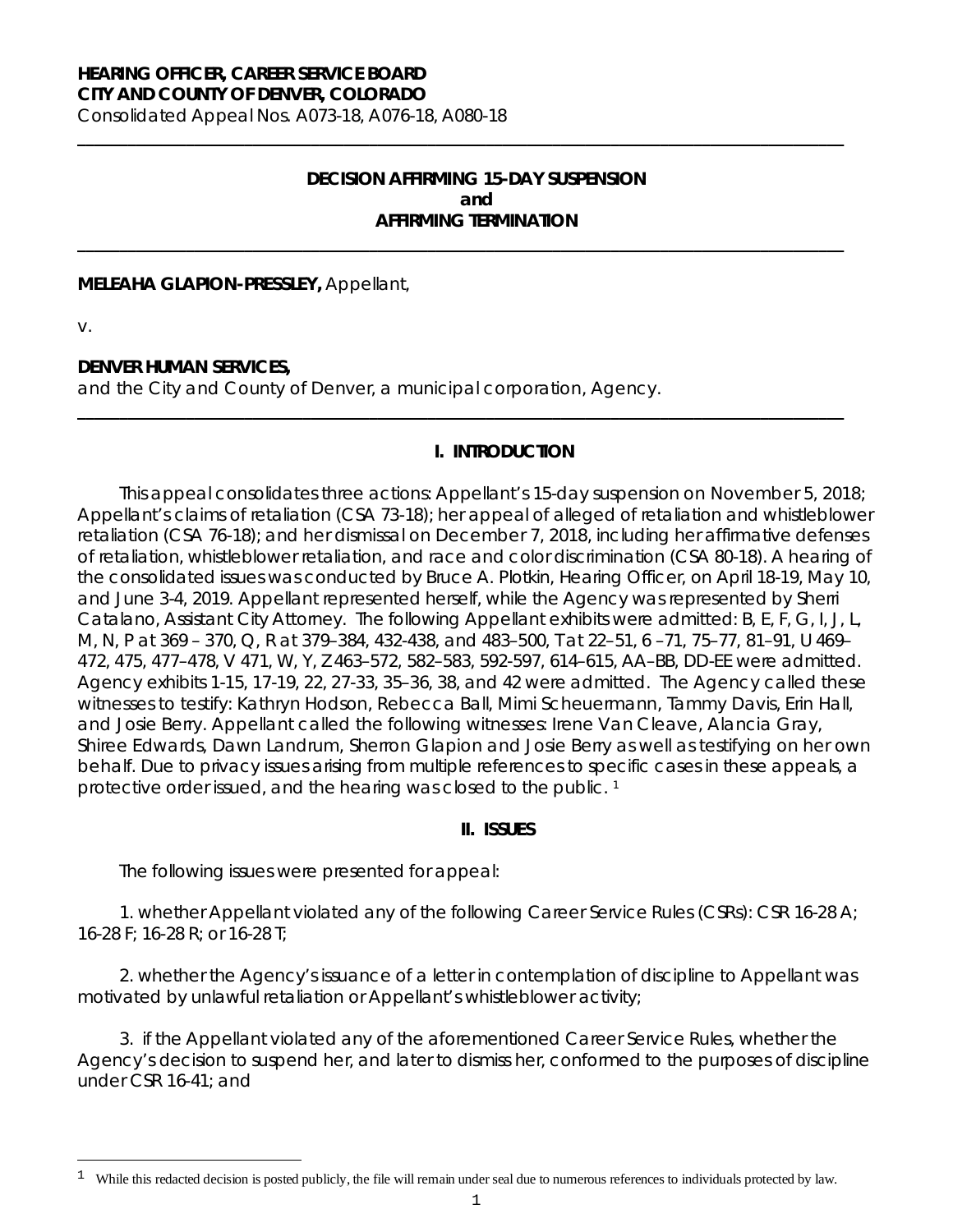#### **HEARING OFFICER, CAREER SERVICE BOARD CITY AND COUNTY OF DENVER, COLORADO**

Consolidated Appeal Nos. A073-18, A076-18, A080-18

## **DECISION AFFIRMING 15-DAY SUSPENSION and AFFIRMING TERMINATION**

**\_\_\_\_\_\_\_\_\_\_\_\_\_\_\_\_\_\_\_\_\_\_\_\_\_\_\_\_\_\_\_\_\_\_\_\_\_\_\_\_\_\_\_\_\_\_\_\_\_\_\_\_\_\_\_\_\_\_\_\_\_\_\_\_\_\_\_\_\_\_\_\_\_\_\_\_\_\_\_\_\_\_\_\_\_\_\_\_\_\_\_\_**

**\_\_\_\_\_\_\_\_\_\_\_\_\_\_\_\_\_\_\_\_\_\_\_\_\_\_\_\_\_\_\_\_\_\_\_\_\_\_\_\_\_\_\_\_\_\_\_\_\_\_\_\_\_\_\_\_\_\_\_\_\_\_\_\_\_\_\_\_\_\_\_\_\_\_\_\_\_\_\_\_\_\_\_\_\_\_\_\_\_\_\_\_**

**\_\_\_\_\_\_\_\_\_\_\_\_\_\_\_\_\_\_\_\_\_\_\_\_\_\_\_\_\_\_\_\_\_\_\_\_\_\_\_\_\_\_\_\_\_\_\_\_\_\_\_\_\_\_\_\_\_\_\_\_\_\_\_\_\_\_\_\_\_\_\_\_\_\_\_\_\_\_\_\_\_\_\_\_\_\_\_\_\_\_\_\_**

#### **MELEAHA GLAPION-PRESSLEY,** Appellant,

v.

Ξ

### **DENVER HUMAN SERVICES,**

and the City and County of Denver, a municipal corporation, Agency.

### **I. INTRODUCTION**

This appeal consolidates three actions: Appellant's 15-day suspension on November 5, 2018; Appellant's claims of retaliation (CSA 73-18); her appeal of alleged of retaliation and whistleblower retaliation (CSA 76-18); and her dismissal on December 7, 2018, including her affirmative defenses of retaliation, whistleblower retaliation, and race and color discrimination (CSA 80-18). A hearing of the consolidated issues was conducted by Bruce A. Plotkin, Hearing Officer, on April 18-19, May 10, and June 3-4, 2019. Appellant represented herself, while the Agency was represented by Sherri Catalano, Assistant City Attorney. The following Appellant exhibits were admitted: B, E, F, G, I, J, L, M, N, P at 369 – 370, Q, R at 379–384, 432-438, and 483–500, T at 22–51, 6 –71, 75–77, 81–91, U 469– 472, 475, 477–478, V 471, W, Y, Z 463–572, 582–583, 592-597, 614–615, AA–BB, DD-EE were admitted. Agency exhibits 1-15, 17-19, 22, 27-33, 35–36, 38, and 42 were admitted. The Agency called these witnesses to testify: Kathryn Hodson, Rebecca Ball, Mimi Scheuermann, Tammy Davis, Erin Hall, and Josie Berry. Appellant called the following witnesses: Irene Van Cleave, Alancia Gray, Shiree Edwards, Dawn Landrum, Sherron Glapion and Josie Berry as well as testifying on her own behalf. Due to privacy issues arising from multiple references to specific cases in these appeals, a protective order issued, and the hearing was closed to the public.<sup>[1](#page-0-0)</sup>

#### **II. ISSUES**

The following issues were presented for appeal:

1. whether Appellant violated any of the following Career Service Rules (CSRs): CSR 16-28 A; 16-28 F; 16-28 R; or 16-28 T;

2. whether the Agency's issuance of a letter in contemplation of discipline to Appellant was motivated by unlawful retaliation or Appellant's whistleblower activity;

3. if the Appellant violated any of the aforementioned Career Service Rules, whether the Agency's decision to suspend her, and later to dismiss her, conformed to the purposes of discipline under CSR 16-41; and

<span id="page-0-0"></span><sup>1</sup> While this redacted decision is posted publicly, the file will remain under seal due to numerous references to individuals protected by law.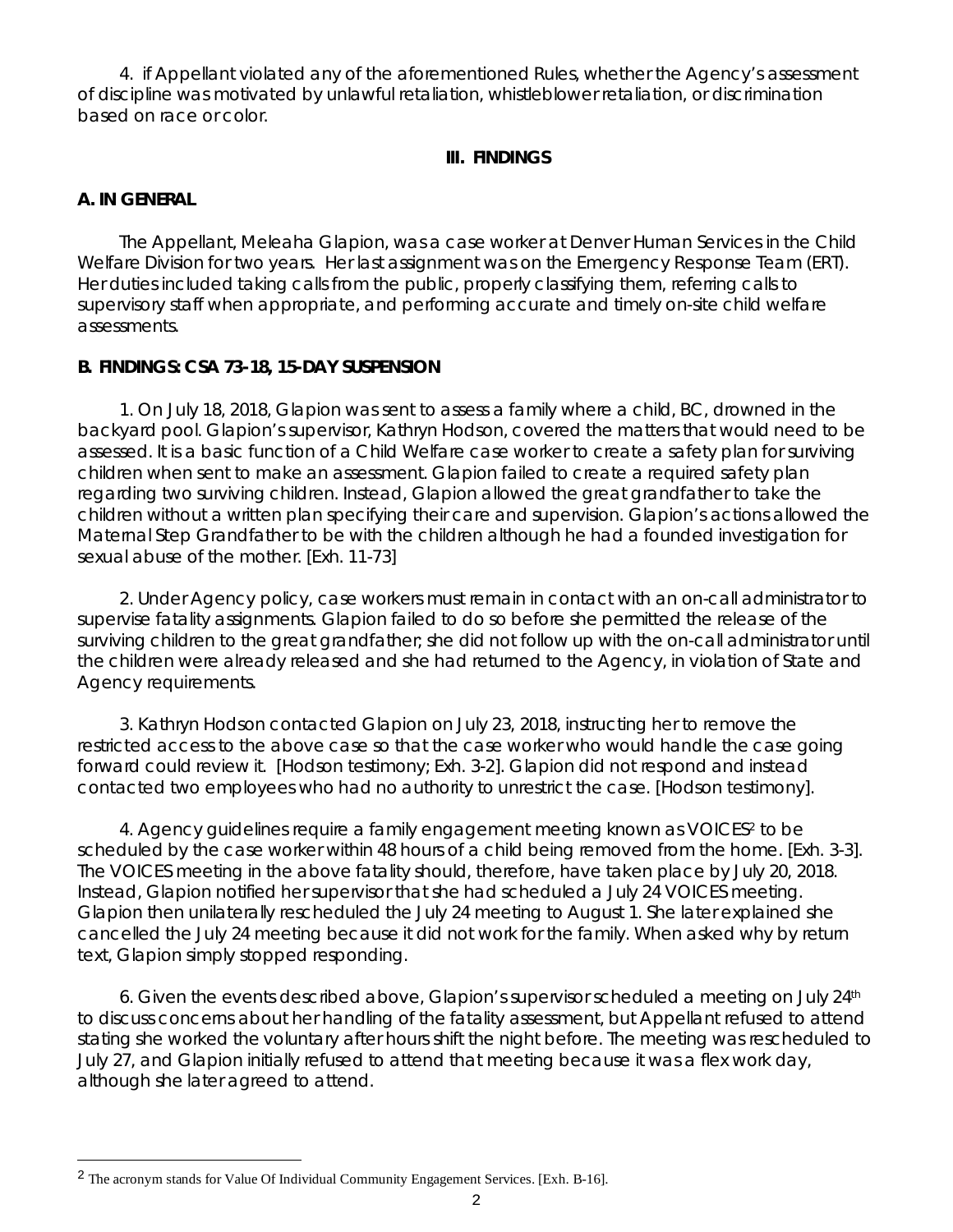4. if Appellant violated any of the aforementioned Rules, whether the Agency's assessment of discipline was motivated by unlawful retaliation, whistleblower retaliation, or discrimination based on race or color.

## **III. FINDINGS**

## **A. IN GENERAL**

The Appellant, Meleaha Glapion, was a case worker at Denver Human Services in the Child Welfare Division for two years. Her last assignment was on the Emergency Response Team (ERT). Her duties included taking calls from the public, properly classifying them, referring calls to supervisory staff when appropriate, and performing accurate and timely on-site child welfare assessments.

## **B. FINDINGS: CSA 73-18, 15-DAY SUSPENSION**

1. On July 18, 2018, Glapion was sent to assess a family where a child, BC, drowned in the backyard pool. Glapion's supervisor, Kathryn Hodson, covered the matters that would need to be assessed. It is a basic function of a Child Welfare case worker to create a safety plan for surviving children when sent to make an assessment. Glapion failed to create a required safety plan regarding two surviving children. Instead, Glapion allowed the great grandfather to take the children without a written plan specifying their care and supervision. Glapion's actions allowed the Maternal Step Grandfather to be with the children although he had a founded investigation for sexual abuse of the mother. [Exh. 11-73]

2. Under Agency policy, case workers must remain in contact with an on-call administrator to supervise fatality assignments. Glapion failed to do so before she permitted the release of the surviving children to the great grandfather; she did not follow up with the on-call administrator until the children were already released and she had returned to the Agency, in violation of State and Agency requirements.

3. Kathryn Hodson contacted Glapion on July 23, 2018, instructing her to remove the restricted access to the above case so that the case worker who would handle the case going forward could review it. [Hodson testimony; Exh. 3-2]. Glapion did not respond and instead contacted two employees who had no authority to unrestrict the case. [Hodson testimony].

4. Agency guidelines require a family engagement meeting known as VOICES<sup>2</sup> to be scheduled by the case worker within 48 hours of a child being removed from the home. [Exh. 3-3]. The VOICES meeting in the above fatality should, therefore, have taken place by July 20, 2018. Instead, Glapion notified her supervisor that she had scheduled a July 24 VOICES meeting. Glapion then unilaterally rescheduled the July 24 meeting to August 1. She later explained she cancelled the July 24 meeting because it did not work for the family. When asked why by return text, Glapion simply stopped responding.

6. Given the events described above, Glapion's supervisor scheduled a meeting on July 24th to discuss concerns about her handling of the fatality assessment, but Appellant refused to attend stating she worked the voluntary after hours shift the night before. The meeting was rescheduled to July 27, and Glapion initially refused to attend that meeting because it was a flex work day, although she later agreed to attend.

<span id="page-1-0"></span>Ξ 2 The acronym stands for Value Of Individual Community Engagement Services. [Exh. B-16].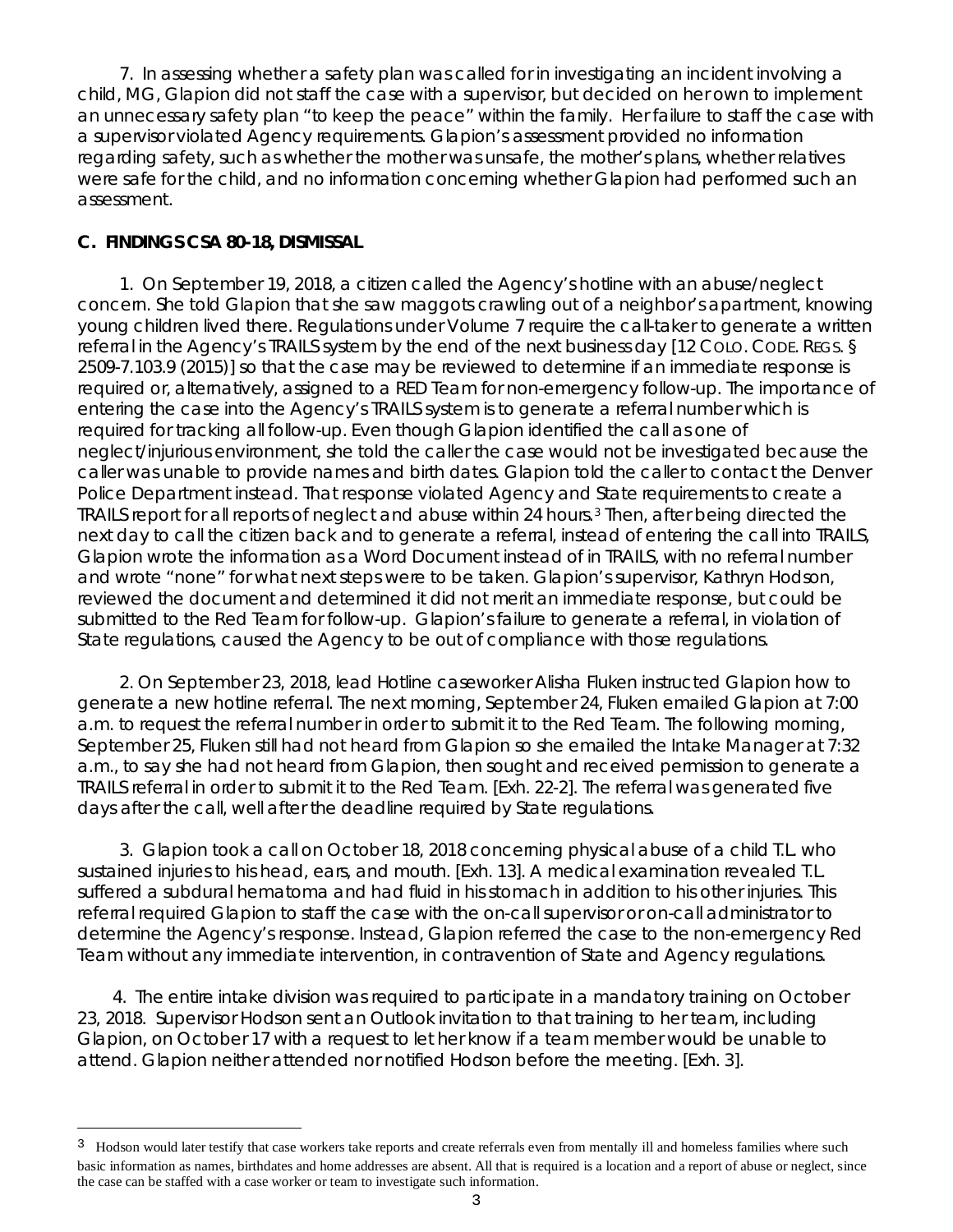7. In assessing whether a safety plan was called for in investigating an incident involving a child, MG, Glapion did not staff the case with a supervisor, but decided on her own to implement an unnecessary safety plan "to keep the peace" within the family. Her failure to staff the case with a supervisor violated Agency requirements. Glapion's assessment provided no information regarding safety, such as whether the mother was unsafe, the mother's plans, whether relatives were safe for the child, and no information concerning whether Glapion had performed such an assessment.

### **C. FINDINGS CSA 80-18, DISMISSAL**

Ī.

1. On September 19, 2018, a citizen called the Agency's hotline with an abuse/neglect concern. She told Glapion that she saw maggots crawling out of a neighbor's apartment, knowing young children lived there. Regulations under Volume 7 require the call-taker to generate a written referral in the Agency's TRAILS system by the end of the next business day [12 COLO. CODE. REGS. § 2509-7.103.9 (2015)] so that the case may be reviewed to determine if an immediate response is required or, alternatively, assigned to a RED Team for non-emergency follow-up. The importance of entering the case into the Agency's TRAILS system is to generate a referral number which is required for tracking all follow-up. Even though Glapion identified the call as one of neglect/injurious environment, she told the caller the case would not be investigated because the caller was unable to provide names and birth dates. Glapion told the caller to contact the Denver Police Department instead. That response violated Agency and State requirements to create a TRAILS report for all reports of neglect and abuse within 24 hours.[3](#page-2-0) Then, after being directed the next day to call the citizen back and to generate a referral, instead of entering the call into TRAILS, Glapion wrote the information as a Word Document instead of in TRAILS, with no referral number and wrote "none" for what next steps were to be taken. Glapion's supervisor, Kathryn Hodson, reviewed the document and determined it did not merit an immediate response, but could be submitted to the Red Team for follow-up. Glapion's failure to generate a referral, in violation of State regulations, caused the Agency to be out of compliance with those regulations.

2. On September 23, 2018, lead Hotline caseworker Alisha Fluken instructed Glapion how to generate a new hotline referral. The next morning, September 24, Fluken emailed Glapion at 7:00 a.m. to request the referral number in order to submit it to the Red Team. The following morning, September 25, Fluken still had not heard from Glapion so she emailed the Intake Manager at 7:32 a.m., to say she had not heard from Glapion, then sought and received permission to generate a TRAILS referral in order to submit it to the Red Team. [Exh. 22-2]. The referral was generated five days after the call, well after the deadline required by State regulations.

3. Glapion took a call on October 18, 2018 concerning physical abuse of a child T.L. who sustained injuries to his head, ears, and mouth. [Exh. 13]. A medical examination revealed T.L. suffered a subdural hematoma and had fluid in his stomach in addition to his other injuries. This referral required Glapion to staff the case with the on-call supervisor or on-call administrator to determine the Agency's response. Instead, Glapion referred the case to the non-emergency Red Team without any immediate intervention, in contravention of State and Agency regulations.

4. The entire intake division was required to participate in a mandatory training on October 23, 2018. Supervisor Hodson sent an Outlook invitation to that training to her team, including Glapion, on October 17 with a request to let her know if a team member would be unable to attend. Glapion neither attended nor notified Hodson before the meeting. [Exh. 3].

<span id="page-2-0"></span><sup>&</sup>lt;sup>3</sup> Hodson would later testify that case workers take reports and create referrals even from mentally ill and homeless families where such basic information as names, birthdates and home addresses are absent. All that is required is a location and a report of abuse or neglect, since the case can be staffed with a case worker or team to investigate such information.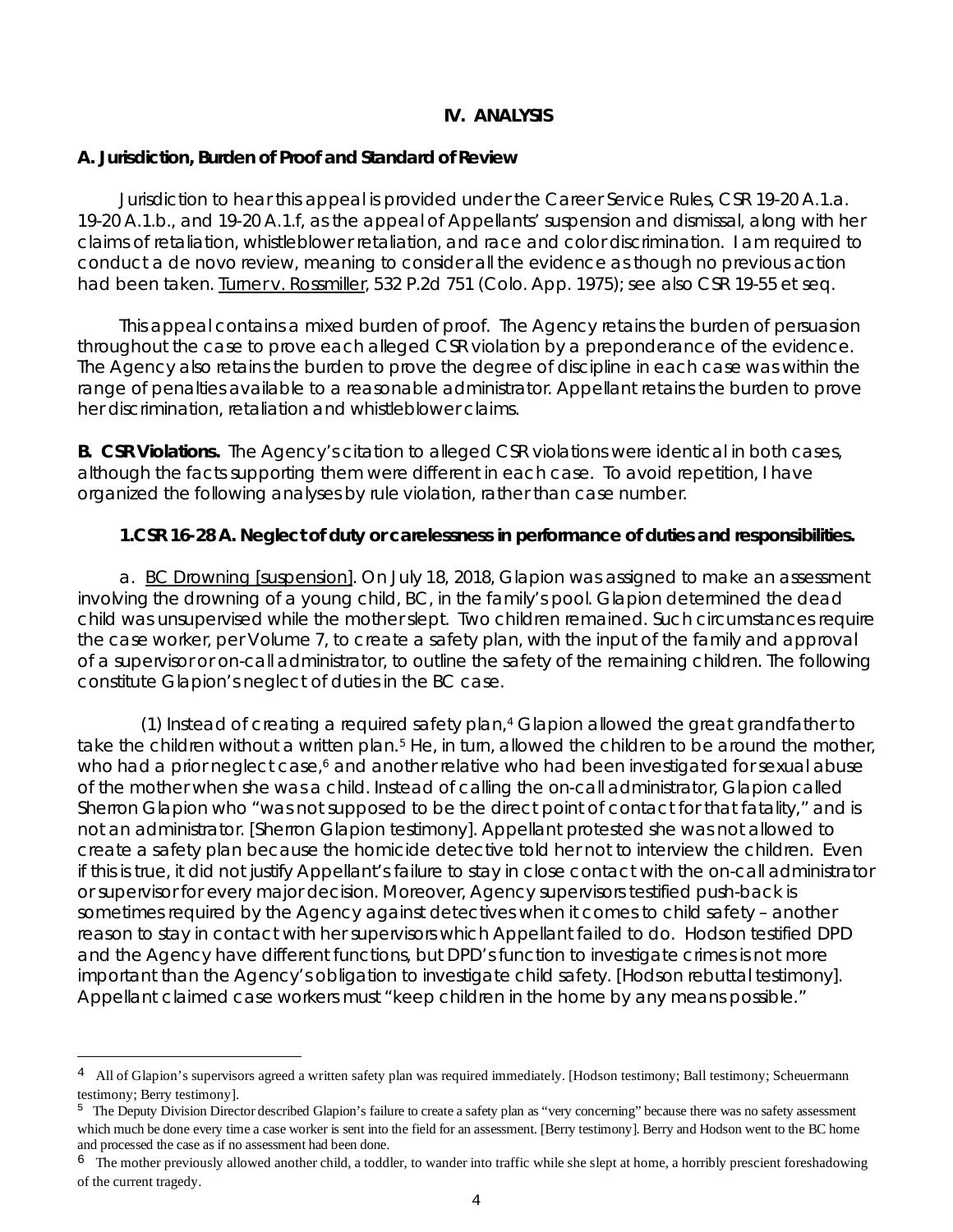### **IV. ANALYSIS**

### **A. Jurisdiction, Burden of Proof and Standard of Review**

Jurisdiction to hear this appeal is provided under the Career Service Rules, CSR 19-20 A.1.a. 19-20 A.1.b., and 19-20 A.1.f, as the appeal of Appellants' suspension and dismissal, along with her claims of retaliation, whistleblower retaliation, and race and color discrimination. I am required to conduct a *de novo* review, meaning to consider all the evidence as though no previous action had been taken. Turner v. Rossmiller, 532 P.2d 751 (Colo. App. 1975); *see also* CSR 19-55 *et seq.*

This appeal contains a mixed burden of proof. The Agency retains the burden of persuasion throughout the case to prove each alleged CSR violation by a preponderance of the evidence. The Agency also retains the burden to prove the degree of discipline in each case was within the range of penalties available to a reasonable administrator. Appellant retains the burden to prove her discrimination, retaliation and whistleblower claims.

**B. CSR Violations.** The Agency's citation to alleged CSR violations were identical in both cases, although the facts supporting them were different in each case. To avoid repetition, I have organized the following analyses by rule violation, rather than case number.

## **1.CSR 16-28 A. Neglect of duty or carelessness in performance of duties and responsibilities.**

a. BC Drowning [suspension]. On July 18, 2018, Glapion was assigned to make an assessment involving the drowning of a young child, BC, in the family's pool. Glapion determined the dead child was unsupervised while the mother slept. Two children remained. Such circumstances require the case worker, per Volume 7, to create a safety plan, with the input of the family and approval of a supervisor or on-call administrator, to outline the safety of the remaining children. The following constitute Glapion's neglect of duties in the BC case.

(1) Instead of creating a required safety plan,[4](#page-3-0) Glapion allowed the great grandfather to take the children without a written plan.<sup>[5](#page-3-1)</sup> He, in turn, allowed the children to be around the mother, who had a prior neglect case,<sup>6</sup> and another relative who had been investigated for sexual abuse of the mother when she was a child. Instead of calling the on-call administrator, Glapion called Sherron Glapion who "was not supposed to be the direct point of contact for that fatality," and is not an administrator. [Sherron Glapion testimony]. Appellant protested she was not allowed to create a safety plan because the homicide detective told her not to interview the children. Even if this is true, it did not justify Appellant's failure to stay in close contact with the on-call administrator or supervisor for every major decision. Moreover, Agency supervisors testified push-back is sometimes required by the Agency against detectives when it comes to child safety – another reason to stay in contact with her supervisors which Appellant failed to do. Hodson testified DPD and the Agency have different functions, but DPD's function to investigate crimes is not more important than the Agency's obligation to investigate child safety. [Hodson rebuttal testimony]. Appellant claimed case workers must "keep children in the home by any means possible."

Ξ

<span id="page-3-0"></span><sup>&</sup>lt;sup>4</sup> All of Glapion's supervisors agreed a written safety plan was required immediately. [Hodson testimony; Ball testimony; Scheuermann testimony; Berry testimony].

<span id="page-3-1"></span><sup>5</sup> The Deputy Division Director described Glapion's failure to create a safety plan as "very concerning" because there was no safety assessment which much be done every time a case worker is sent into the field for an assessment. [Berry testimony]. Berry and Hodson went to the BC home and processed the case as if no assessment had been done.

<span id="page-3-2"></span> $6$  The mother previously allowed another child, a toddler, to wander into traffic while she slept at home, a horribly prescient foreshadowing of the current tragedy.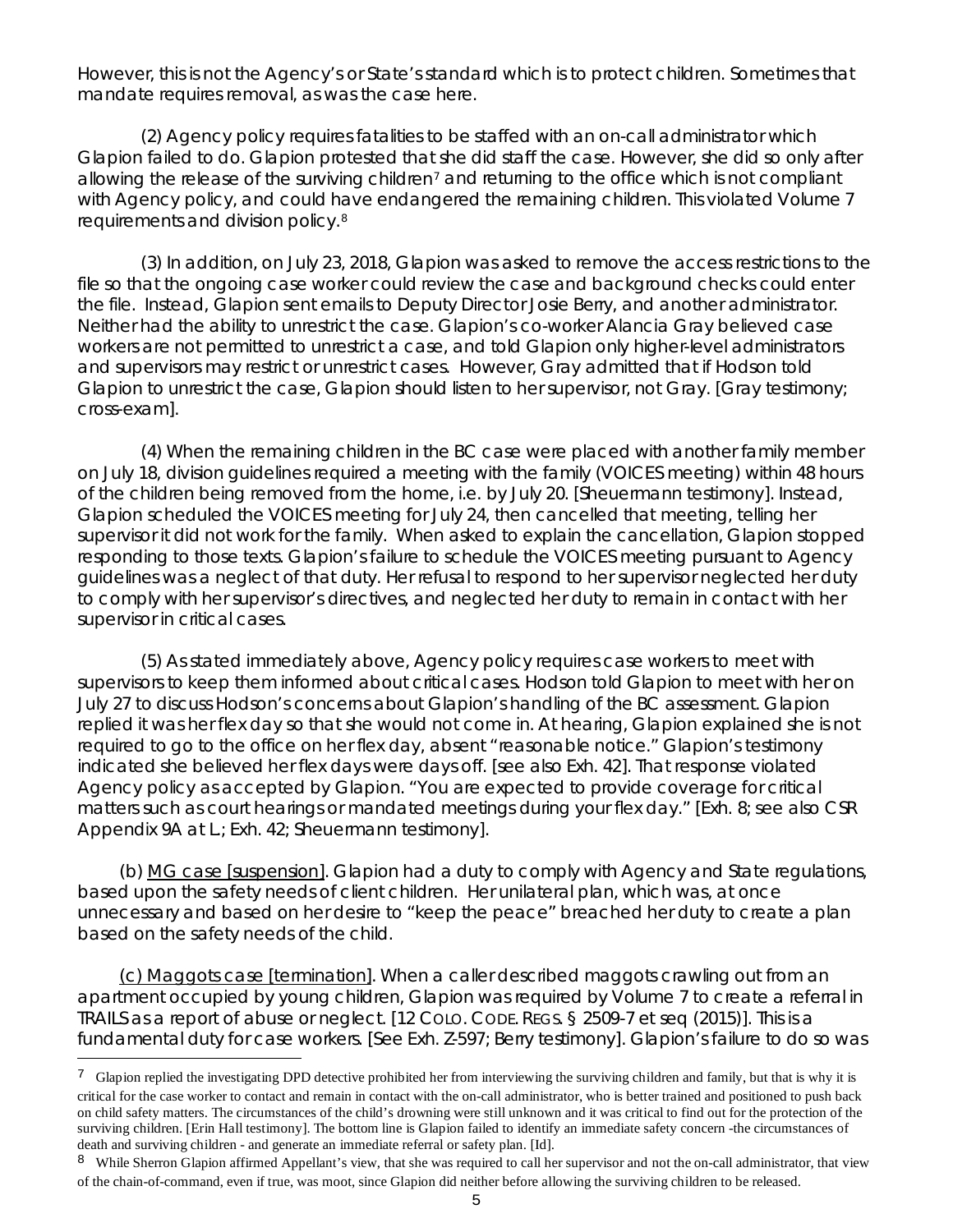However, this is not the Agency's or State's standard which is to protect children. Sometimes that mandate requires removal, as was the case here.

(2) Agency policy requires fatalities to be staffed with an on-call administrator which Glapion failed to do. Glapion protested that she did staff the case. However, she did so only after allowing the release of the surviving children<sup>[7](#page-4-0)</sup> and returning to the office which is not compliant with Agency policy, and could have endangered the remaining children. This violated Volume 7 requirements and division policy.[8](#page-4-1)

(3) In addition, on July 23, 2018, Glapion was asked to remove the access restrictions to the file so that the ongoing case worker could review the case and background checks could enter the file. Instead, Glapion sent emails to Deputy Director Josie Berry, and another administrator. Neither had the ability to unrestrict the case. Glapion's co-worker Alancia Gray believed case workers are not permitted to unrestrict a case, and told Glapion only higher-level administrators and supervisors may restrict or unrestrict cases. However, Gray admitted that if Hodson told Glapion to unrestrict the case, Glapion should listen to her supervisor, not Gray. [Gray testimony; cross-exam].

(4) When the remaining children in the BC case were placed with another family member on July 18, division guidelines required a meeting with the family (VOICES meeting) within 48 hours of the children being removed from the home, i.e. by July 20. [Sheuermann testimony]. Instead, Glapion scheduled the VOICES meeting for July 24, then cancelled that meeting, telling her supervisor it did not work for the family. When asked to explain the cancellation, Glapion stopped responding to those texts. Glapion's failure to schedule the VOICES meeting pursuant to Agency guidelines was a neglect of that duty. Her refusal to respond to her supervisor neglected her duty to comply with her supervisor's directives, and neglected her duty to remain in contact with her supervisor in critical cases.

(5) As stated immediately above, Agency policy requires case workers to meet with supervisors to keep them informed about critical cases. Hodson told Glapion to meet with her on July 27 to discuss Hodson's concerns about Glapion's handling of the BC assessment. Glapion replied it was her flex day so that she would not come in. At hearing, Glapion explained she is not required to go to the office on her flex day, absent "reasonable notice." Glapion's testimony indicated she believed her flex days were days off. [*see also* Exh. 42]. That response violated Agency policy as accepted by Glapion. "You are expected to provide coverage for critical matters such as court hearings or mandated meetings during your flex day." [Exh. 8; *see also* CSR Appendix 9A at L.; Exh. 42; Sheuermann testimony].

(b) MG case [suspension]. Glapion had a duty to comply with Agency and State regulations, based upon the safety needs of client children. Her unilateral plan, which was, at once unnecessary and based on her desire to "keep the peace" breached her duty to create a plan based on the safety needs of the child.

(c) Maggots case [termination]. When a caller described maggots crawling out from an apartment occupied by young children, Glapion was required by Volume 7 to create a referral in TRAILS as a report of abuse or neglect. [12 COLO. CODE. REGS. § 2509-7 *et seq* (2015)]. This is a fundamental duty for case workers. [See Exh. Z-597; Berry testimony]. Glapion's failure to do so was

<span id="page-4-0"></span><sup>&</sup>lt;sup>7</sup> Glapion replied the investigating DPD detective prohibited her from interviewing the surviving children and family, but that is why it is critical for the case worker to contact and remain in contact with the on-call administrator, who is better trained and positioned to push back on child safety matters. The circumstances of the child's drowning were still unknown and it was critical to find out for the protection of the surviving children. [Erin Hall testimony]. The bottom line is Glapion failed to identify an immediate safety concern -the circumstances of death and surviving children - and generate an immediate referral or safety plan. [Id].

<span id="page-4-1"></span><sup>&</sup>lt;sup>8</sup> While Sherron Glapion affirmed Appellant's view, that she was required to call her supervisor and not the on-call administrator, that view of the chain-of-command, even if true, was moot, since Glapion did neither before allowing the surviving children to be released.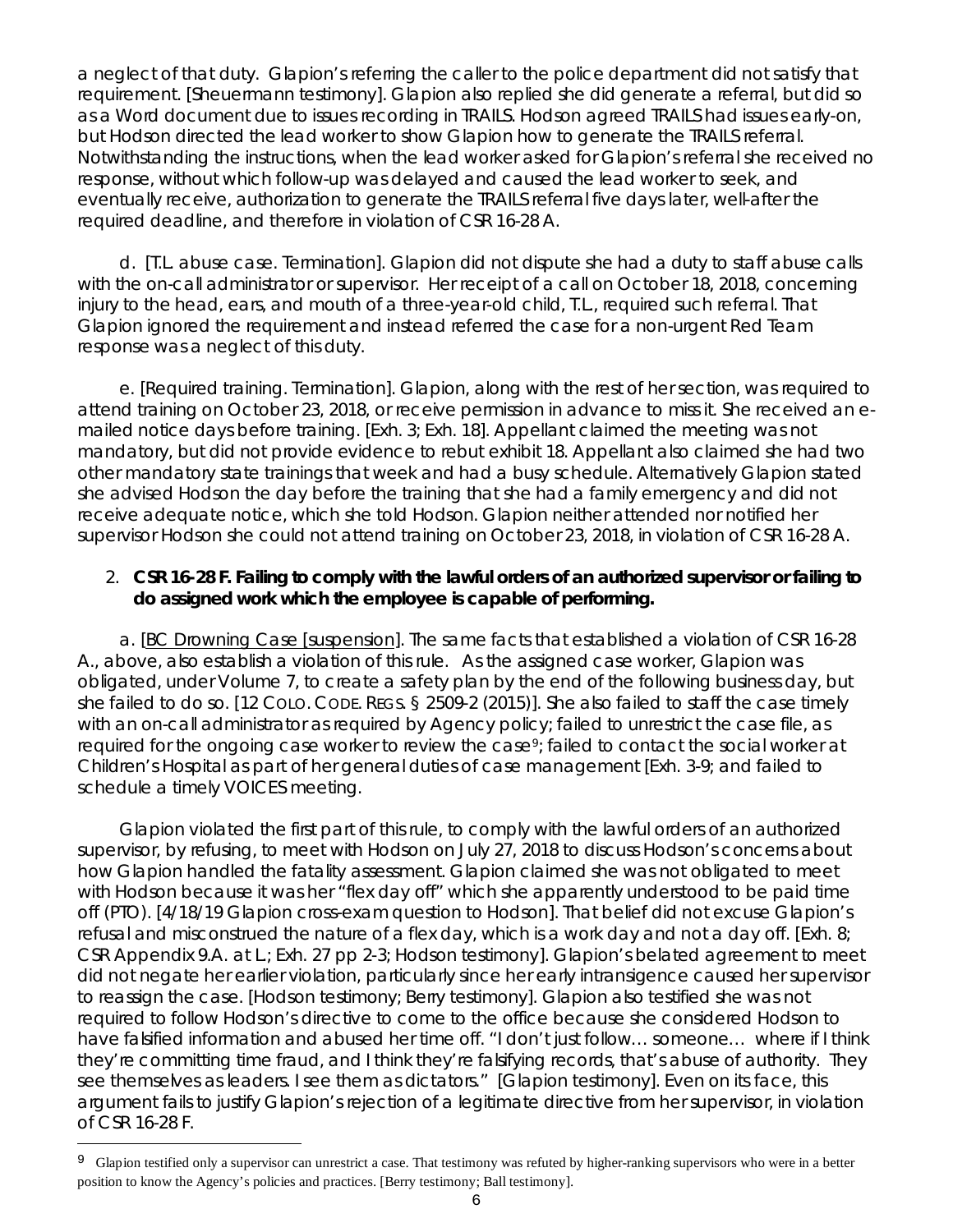a neglect of that duty. Glapion's referring the caller to the police department did not satisfy that requirement. [Sheuermann testimony]. Glapion also replied she did generate a referral, but did so as a Word document due to issues recording in TRAILS. Hodson agreed TRAILS had issues early-on, but Hodson directed the lead worker to show Glapion how to generate the TRAILS referral. Notwithstanding the instructions, when the lead worker asked for Glapion's referral she received no response, without which follow-up was delayed and caused the lead worker to seek, and eventually receive, authorization to generate the TRAILS referral five days later, well-after the required deadline, and therefore in violation of CSR 16-28 A.

d. [T.L. abuse case. Termination]. Glapion did not dispute she had a duty to staff abuse calls with the on-call administrator or supervisor. Her receipt of a call on October 18, 2018, concerning injury to the head, ears, and mouth of a three-year-old child, T.L., required such referral. That Glapion ignored the requirement and instead referred the case for a non-urgent Red Team response was a neglect of this duty.

e. [Required training. Termination]. Glapion, along with the rest of her section, was required to attend training on October 23, 2018, or receive permission in advance to miss it. She received an emailed notice days before training. [Exh. 3; Exh. 18]. Appellant claimed the meeting was not mandatory, but did not provide evidence to rebut exhibit 18. Appellant also claimed she had two other mandatory state trainings that week and had a busy schedule. Alternatively Glapion stated she advised Hodson the day before the training that she had a family emergency and did not receive adequate notice, which she told Hodson. Glapion neither attended nor notified her supervisor Hodson she could not attend training on October 23, 2018, in violation of CSR 16-28 A.

## 2. **CSR 16-28 F. Failing to comply with the lawful orders of an authorized supervisor or failing to do assigned work which the employee is capable of performing.**

a. [BC Drowning Case [suspension]. The same facts that established a violation of CSR 16-28 A., above, also establish a violation of this rule. As the assigned case worker, Glapion was obligated, under Volume 7, to create a safety plan by the end of the following business day, but she failed to do so. [12 COLO. CODE. REGS. § 2509-2 (2015)]. She also failed to staff the case timely with an on-call administrator as required by Agency policy; failed to unrestrict the case file, as required for the ongoing case worker to review the case<sup>9</sup>; failed to contact the social worker at Children's Hospital as part of her general duties of case management [Exh. 3-9; and failed to schedule a timely VOICES meeting.

Glapion violated the first part of this rule, to comply with the lawful orders of an authorized supervisor, by refusing, to meet with Hodson on July 27, 2018 to discuss Hodson's concerns about how Glapion handled the fatality assessment. Glapion claimed she was not obligated to meet with Hodson because it was her "flex day off" which she apparently understood to be paid time off (PTO). [4/18/19 Glapion cross-exam question to Hodson]. That belief did not excuse Glapion's refusal and misconstrued the nature of a flex day, which is a work day and not a day off. [Exh. 8; CSR Appendix 9.A. at L.; Exh. 27 pp 2-3; Hodson testimony]. Glapion's belated agreement to meet did not negate her earlier violation, particularly since her early intransigence caused her supervisor to reassign the case. [Hodson testimony; Berry testimony]. Glapion also testified she was not required to follow Hodson's directive to come to the office because she considered Hodson to have falsified information and abused her time off. "I don't just follow… someone… where if I think they're committing time fraud, and I think they're falsifying records, that's abuse of authority. They see themselves as leaders. I see them as dictators." [Glapion testimony]. Even on its face, this argument fails to justify Glapion's rejection of a legitimate directive from her supervisor, in violation of CSR 16-28 F.

Ξ

<span id="page-5-0"></span><sup>&</sup>lt;sup>9</sup> Glapion testified only a supervisor can unrestrict a case. That testimony was refuted by higher-ranking supervisors who were in a better position to know the Agency's policies and practices. [Berry testimony; Ball testimony].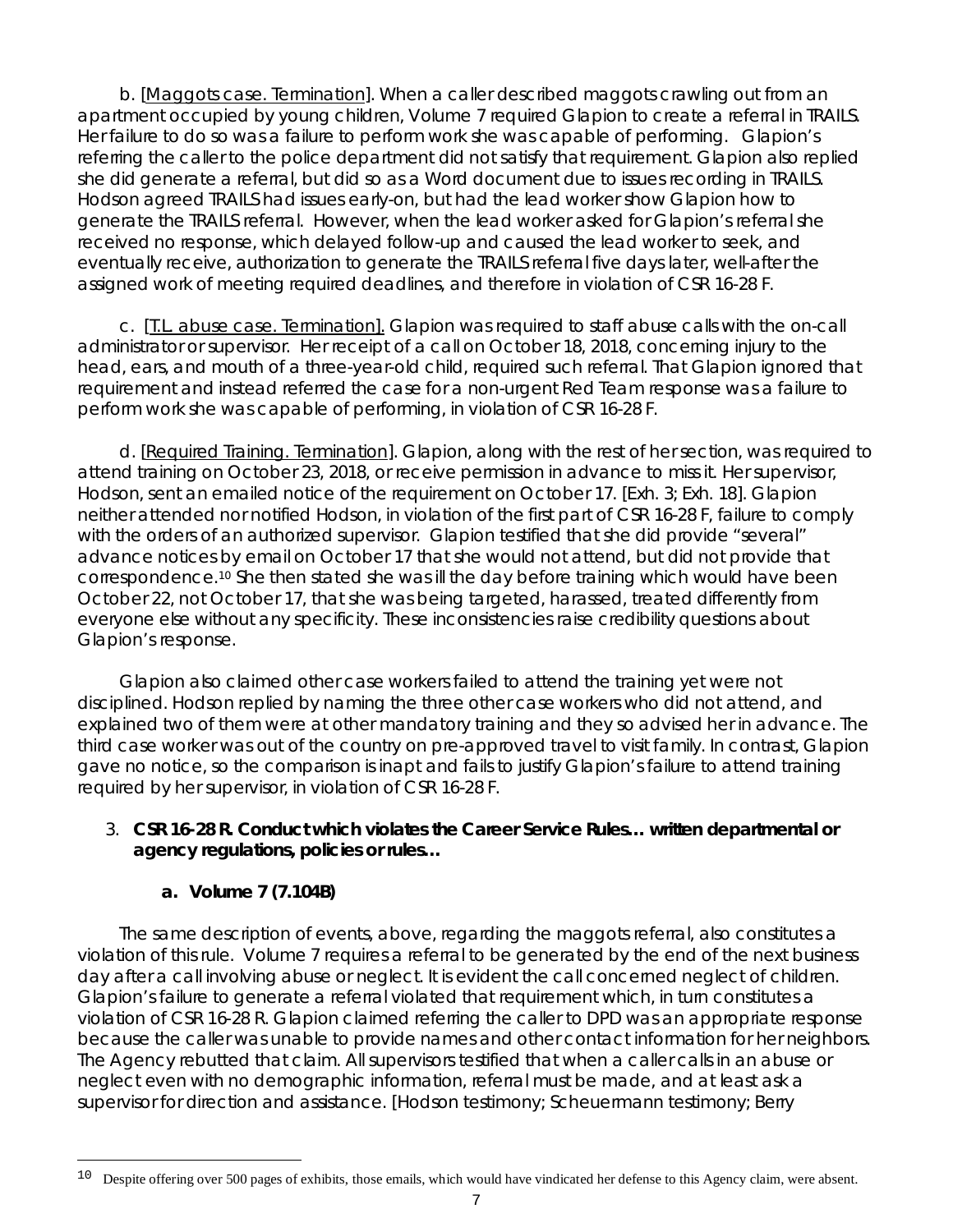b. [Maggots case. Termination]. When a caller described maggots crawling out from an apartment occupied by young children, Volume 7 required Glapion to create a referral in TRAILS. Her failure to do so was a failure to perform work she was capable of performing. Glapion's referring the caller to the police department did not satisfy that requirement. Glapion also replied she did generate a referral, but did so as a Word document due to issues recording in TRAILS. Hodson agreed TRAILS had issues early-on, but had the lead worker show Glapion how to generate the TRAILS referral. However, when the lead worker asked for Glapion's referral she received no response, which delayed follow-up and caused the lead worker to seek, and eventually receive, authorization to generate the TRAILS referral five days later, well-after the assigned work of meeting required deadlines, and therefore in violation of CSR 16-28 F.

c. [T.L. abuse case. Termination]. Glapion was required to staff abuse calls with the on-call administrator or supervisor. Her receipt of a call on October 18, 2018, concerning injury to the head, ears, and mouth of a three-year-old child, required such referral. That Glapion ignored that requirement and instead referred the case for a non-urgent Red Team response was a failure to perform work she was capable of performing, in violation of CSR 16-28 F.

d. [Required Training. Termination]. Glapion, along with the rest of her section, was required to attend training on October 23, 2018, or receive permission in advance to miss it. Her supervisor, Hodson, sent an emailed notice of the requirement on October 17. [Exh. 3; Exh. 18]. Glapion neither attended nor notified Hodson, in violation of the first part of CSR 16-28 F, failure to comply with the orders of an authorized supervisor. Glapion testified that she did provide "several" advance notices by email on October 17 that she would not attend, but did not provide that correspondence[.10](#page-6-0) She then stated she was ill the day before training which would have been October 22, not October 17, that she was being targeted, harassed, treated differently from everyone else without any specificity. These inconsistencies raise credibility questions about Glapion's response.

Glapion also claimed other case workers failed to attend the training yet were not disciplined. Hodson replied by naming the three other case workers who did not attend, and explained two of them were at other mandatory training and they so advised her in advance. The third case worker was out of the country on pre-approved travel to visit family. In contrast, Glapion gave no notice, so the comparison is inapt and fails to justify Glapion's failure to attend training required by her supervisor, in violation of CSR 16-28 F.

## 3. **CSR 16-28 R. Conduct which violates the Career Service Rules… written departmental or agency regulations, policies or rules…**

## **a. Volume 7 (7.104B)**

The same description of events, above, regarding the maggots referral, also constitutes a violation of this rule. Volume 7 requires a referral to be generated by the end of the next business day after a call involving abuse or neglect. It is evident the call concerned neglect of children. Glapion's failure to generate a referral violated that requirement which, in turn constitutes a violation of CSR 16-28 R. Glapion claimed referring the caller to DPD was an appropriate response because the caller was unable to provide names and other contact information for her neighbors. The Agency rebutted that claim. All supervisors testified that when a caller calls in an abuse or neglect even with no demographic information, referral must be made, and at least ask a supervisor for direction and assistance. [Hodson testimony; Scheuermann testimony; Berry

<span id="page-6-0"></span>Ξ 10 Despite offering over 500 pages of exhibits, those emails, which would have vindicated her defense to this Agency claim, were absent.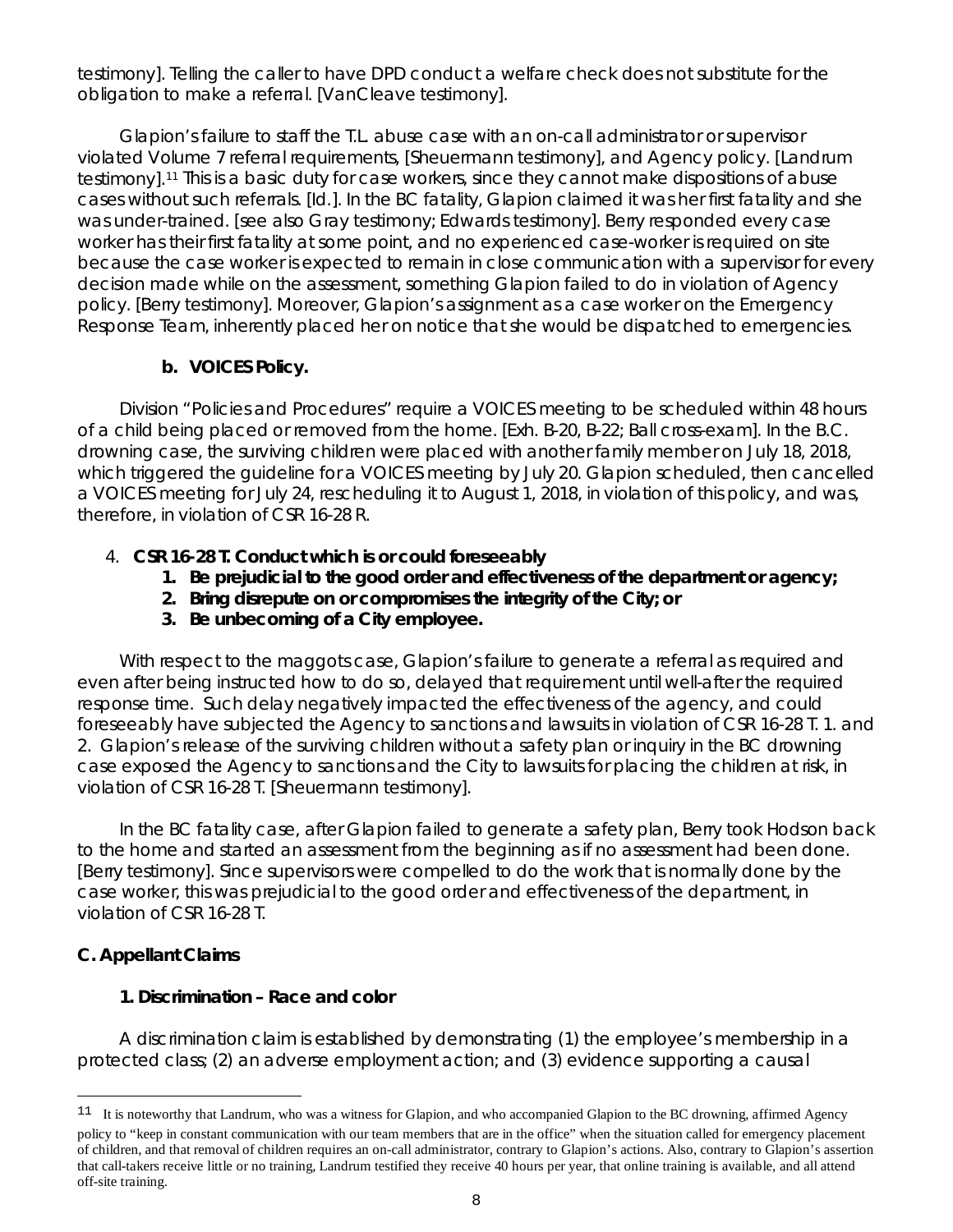testimony]. Telling the caller to have DPD conduct a welfare check does not substitute for the obligation to make a referral. [VanCleave testimony].

Glapion's failure to staff the T.L. abuse case with an on-call administrator or supervisor violated Volume 7 referral requirements, [Sheuermann testimony], and Agency policy. [Landrum testimony].[11](#page-7-0) This is a basic duty for case workers, since they cannot make dispositions of abuse cases without such referrals. [Id.]. In the BC fatality, Glapion claimed it was her first fatality and she was under-trained. [*see also* Gray testimony; Edwards testimony]. Berry responded every case worker has their first fatality at some point, and no experienced case-worker is required on site because the case worker is expected to remain in close communication with a supervisor for every decision made while on the assessment, something Glapion failed to do in violation of Agency policy. [Berry testimony]. Moreover, Glapion's assignment as a case worker on the Emergency Response Team, inherently placed her on notice that she would be dispatched to emergencies.

## **b. VOICES Policy.**

Division "Policies and Procedures" require a VOICES meeting to be scheduled within 48 hours of a child being placed or removed from the home. [Exh. B-20, B-22; Ball cross-exam]. In the B.C. drowning case, the surviving children were placed with another family member on July 18, 2018, which triggered the guideline for a VOICES meeting by July 20. Glapion scheduled, then cancelled a VOICES meeting for July 24, rescheduling it to August 1, 2018, in violation of this policy, and was, therefore, in violation of CSR 16-28 R.

# 4. **CSR 16-28 T. Conduct which is or could foreseeably**

- **1. Be prejudicial to the good order and effectiveness of the department or agency;**
- **2. Bring disrepute on or compromises the integrity of the City; or**
- **3. Be unbecoming of a City employee.**

With respect to the maggots case, Glapion's failure to generate a referral as required and even after being instructed how to do so, delayed that requirement until well-after the required response time. Such delay negatively impacted the effectiveness of the agency, and could foreseeably have subjected the Agency to sanctions and lawsuits in violation of CSR 16-28 T. 1. and 2. Glapion's release of the surviving children without a safety plan or inquiry in the BC drowning case exposed the Agency to sanctions and the City to lawsuits for placing the children at risk, in violation of CSR 16-28 T. [Sheuermann testimony].

In the BC fatality case, after Glapion failed to generate a safety plan, Berry took Hodson back to the home and started an assessment from the beginning as if no assessment had been done. [Berry testimony]. Since supervisors were compelled to do the work that is normally done by the case worker, this was prejudicial to the good order and effectiveness of the department, in violation of CSR 16-28 T.

## **C. Appellant Claims**

Ξ

# **1. Discrimination – Race and color**

A discrimination claim is established by demonstrating (1) the employee's membership in a protected class; (2) an adverse employment action; and (3) evidence supporting a causal

<span id="page-7-0"></span><sup>&</sup>lt;sup>11</sup> It is noteworthy that Landrum, who was a witness for Glapion, and who accompanied Glapion to the BC drowning, affirmed Agency policy to "keep in constant communication with our team members that are in the office" when the situation called for emergency placement of children, and that removal of children requires an on-call administrator, contrary to Glapion's actions. Also, contrary to Glapion's assertion that call-takers receive little or no training, Landrum testified they receive 40 hours per year, that online training is available, and all attend off-site training.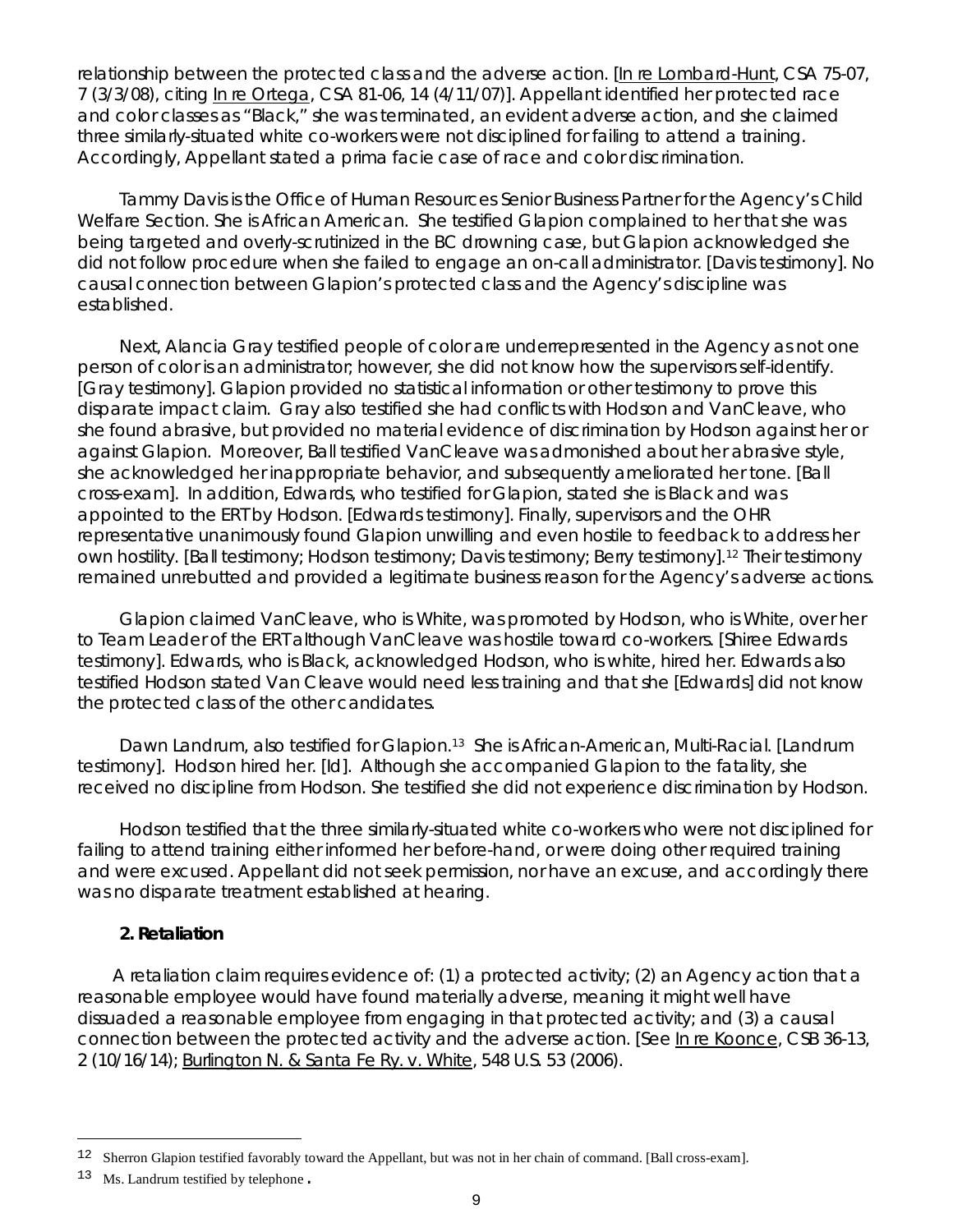relationship between the protected class and the adverse action. [In re Lombard-Hunt, CSA 75-07, 7 (3/3/08), *citing* In re Ortega, CSA 81-06, 14 (4/11/07)]. Appellant identified her protected race and color classes as "Black," she was terminated, an evident adverse action, and she claimed three similarly-situated white co-workers were not disciplined for failing to attend a training. Accordingly, Appellant stated a prima facie case of race and color discrimination.

Tammy Davis is the Office of Human Resources Senior Business Partner for the Agency's Child Welfare Section. She is African American. She testified Glapion complained to her that she was being targeted and overly-scrutinized in the BC drowning case, but Glapion acknowledged she did not follow procedure when she failed to engage an on-call administrator. [Davis testimony]. No causal connection between Glapion's protected class and the Agency's discipline was established.

Next, Alancia Gray testified people of color are underrepresented in the Agency as not one person of color is an administrator; however, she did not know how the supervisors self-identify. [Gray testimony]. Glapion provided no statistical information or other testimony to prove this disparate impact claim. Gray also testified she had conflicts with Hodson and VanCleave, who she found abrasive, but provided no material evidence of discrimination by Hodson against her or against Glapion. Moreover, Ball testified VanCleave was admonished about her abrasive style, she acknowledged her inappropriate behavior, and subsequently ameliorated her tone. [Ball cross-exam]. In addition, Edwards, who testified for Glapion, stated she is Black and was appointed to the ERT by Hodson. [Edwards testimony]. Finally, supervisors and the OHR representative unanimously found Glapion unwilling and even hostile to feedback to address her own hostility. [Ball testimony; Hodson testimony; Davis testimony; Berry testimony].[12](#page-8-0) Their testimony remained unrebutted and provided a legitimate business reason for the Agency's adverse actions.

Glapion claimed VanCleave, who is White, was promoted by Hodson, who is White, over her to Team Leader of the ERT although VanCleave was hostile toward co-workers. [Shiree Edwards testimony]. Edwards, who is Black, acknowledged Hodson, who is white, hired her. Edwards also testified Hodson stated Van Cleave would need less training and that she [Edwards] did not know the protected class of the other candidates.

Dawn Landrum, also testified for Glapion.<sup>[13](#page-8-1)</sup> She is African-American, Multi-Racial. [Landrum testimony]. Hodson hired her. [*Id*]. Although she accompanied Glapion to the fatality, she received no discipline from Hodson. She testified she did not experience discrimination by Hodson.

Hodson testified that the three similarly-situated white co-workers who were not disciplined for failing to attend training either informed her before-hand, or were doing other required training and were excused. Appellant did not seek permission, nor have an excuse, and accordingly there was no disparate treatment established at hearing.

### **2. Retaliation**

A retaliation claim requires evidence of: (1) a protected activity; (2) an Agency action that a reasonable employee would have found materially adverse, meaning it might well have dissuaded a reasonable employee from engaging in that protected activity; and (3) a causal connection between the protected activity and the adverse action. [*See* In re Koonce, CSB 36-13, 2 (10/16/14); Burlington N. & Santa Fe Ry. v. White, 548 U.S. 53 (2006).

<span id="page-8-0"></span>Ξ <sup>12</sup> Sherron Glapion testified favorably toward the Appellant, but was not in her chain of command. [Ball cross-exam].

<span id="page-8-1"></span><sup>13</sup> Ms. Landrum testified by telephone.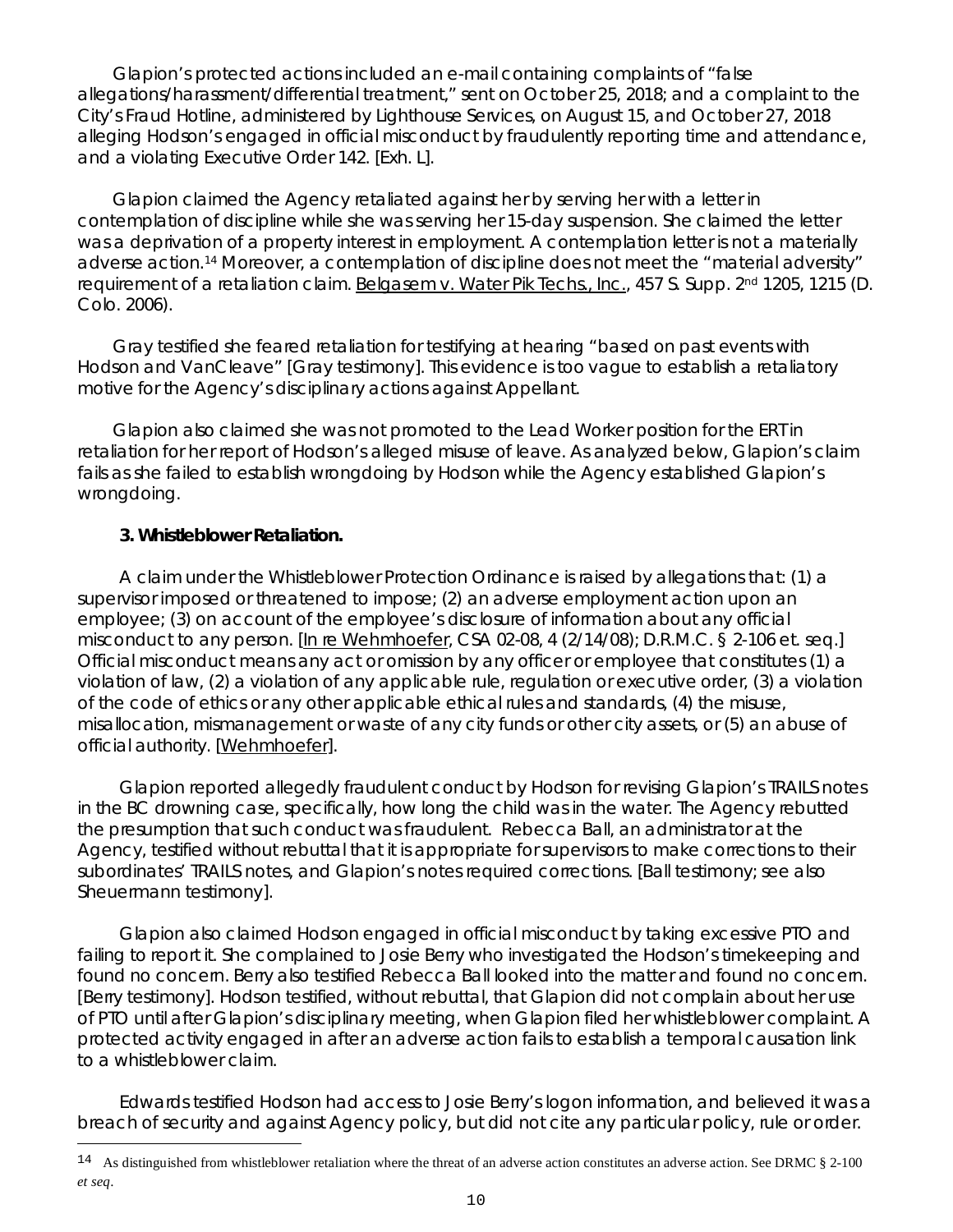Glapion's protected actions included an e-mail containing complaints of "false allegations/harassment/differential treatment," sent on October 25, 2018; and a complaint to the City's Fraud Hotline, administered by Lighthouse Services, on August 15, and October 27, 2018 alleging Hodson's engaged in official misconduct by fraudulently reporting time and attendance, and a violating Executive Order 142. [Exh. L].

Glapion claimed the Agency retaliated against her by serving her with a letter in contemplation of discipline while she was serving her 15-day suspension. She claimed the letter was a deprivation of a property interest in employment. A contemplation letter is not a materially adverse action[.14](#page-9-0) Moreover, a contemplation of discipline does not meet the "material adversity" requirement of a retaliation claim. Belgasem v. Water Pik Techs., Inc., 457 S. Supp. 2<sup>nd</sup> 1205, 1215 (D. Colo. 2006).

Gray testified she feared retaliation for testifying at hearing "based on past events with Hodson and VanCleave" [Gray testimony]. This evidence is too vague to establish a retaliatory motive for the Agency's disciplinary actions against Appellant.

Glapion also claimed she was not promoted to the Lead Worker position for the ERT in retaliation for her report of Hodson's alleged misuse of leave. As analyzed below, Glapion's claim fails as she failed to establish wrongdoing by Hodson while the Agency established Glapion's wrongdoing.

## **3. Whistleblower Retaliation.**

Ξ

A claim under the Whistleblower Protection Ordinance is raised by allegations that: (1) a supervisor imposed or threatened to impose; (2) an adverse employment action upon an employee; (3) on account of the employee's disclosure of information about any official misconduct to any person. [In re Wehmhoefer, CSA 02-08, 4 (2/14/08); D.R.M.C. § 2-106 et. seq.] Official misconduct means any act or omission by any officer or employee that constitutes (1) a violation of law, (2) a violation of any applicable rule, regulation or executive order, (3) a violation of the code of ethics or any other applicable ethical rules and standards, (4) the misuse, misallocation, mismanagement or waste of any city funds or other city assets, or (5) an abuse of official authority. [Wehmhoefer].

Glapion reported allegedly fraudulent conduct by Hodson for revising Glapion's TRAILS notes in the BC drowning case, specifically, how long the child was in the water. The Agency rebutted the presumption that such conduct was fraudulent. Rebecca Ball, an administrator at the Agency, testified without rebuttal that it is appropriate for supervisors to make corrections to their subordinates' TRAILS notes, and Glapion's notes required corrections. [Ball testimony; see also Sheuermann testimony].

Glapion also claimed Hodson engaged in official misconduct by taking excessive PTO and failing to report it. She complained to Josie Berry who investigated the Hodson's timekeeping and found no concern. Berry also testified Rebecca Ball looked into the matter and found no concern. [Berry testimony]. Hodson testified, without rebuttal, that Glapion did not complain about her use of PTO until after Glapion's disciplinary meeting, when Glapion filed her whistleblower complaint. A protected activity engaged in after an adverse action fails to establish a temporal causation link to a whistleblower claim.

Edwards testified Hodson had access to Josie Berry's logon information, and believed it was a breach of security and against Agency policy, but did not cite any particular policy, rule or order.

<span id="page-9-0"></span> $14$  As distinguished from whistleblower retaliation where the threat of an adverse action constitutes an adverse action. See DRMC § 2-100 *et seq*.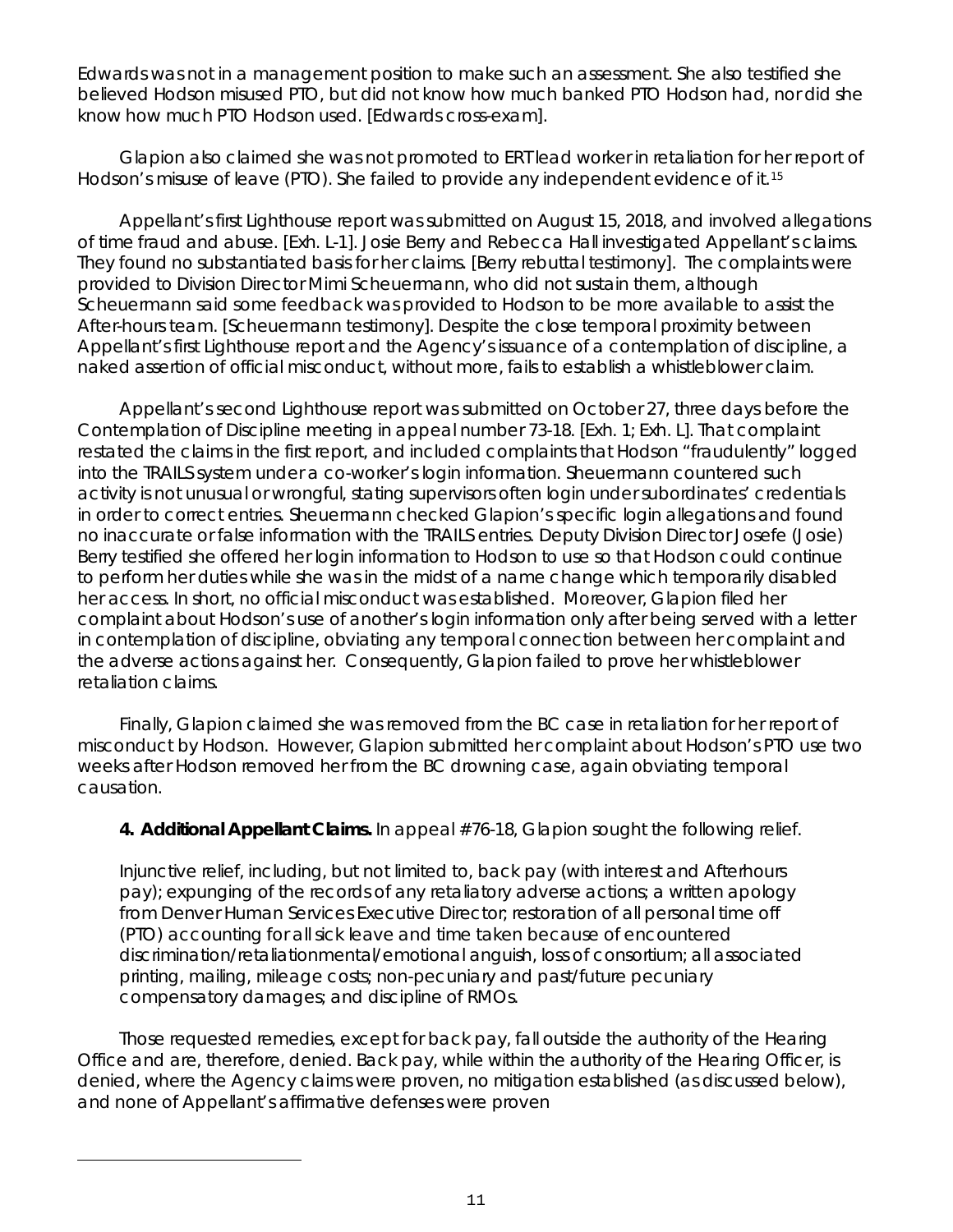Edwards was not in a management position to make such an assessment. She also testified she believed Hodson misused PTO, but did not know how much banked PTO Hodson had, nor did she know how much PTO Hodson used. [Edwards cross-exam].

Glapion also claimed she was not promoted to ERT lead worker in retaliation for her report of Hodson's misuse of leave (PTO). She failed to provide any independent evidence of it.<sup>[15](#page-10-0)</sup>

Appellant's first Lighthouse report was submitted on August 15, 2018, and involved allegations of time fraud and abuse. [Exh. L-1]. Josie Berry and Rebecca Hall investigated Appellant's claims. They found no substantiated basis for her claims. [Berry rebuttal testimony]. The complaints were provided to Division Director Mimi Scheuermann, who did not sustain them, although Scheuermann said some feedback was provided to Hodson to be more available to assist the After-hours team. [Scheuermann testimony]. Despite the close temporal proximity between Appellant's first Lighthouse report and the Agency's issuance of a contemplation of discipline, a naked assertion of official misconduct, without more, fails to establish a whistleblower claim.

Appellant's second Lighthouse report was submitted on October 27, three days before the Contemplation of Discipline meeting in appeal number 73-18. [Exh. 1; Exh. L]. That complaint restated the claims in the first report, and included complaints that Hodson "fraudulently" logged into the TRAILS system under a co-worker's login information. Sheuermann countered such activity is not unusual or wrongful, stating supervisors often login under subordinates' credentials in order to correct entries. Sheuermann checked Glapion's specific login allegations and found no inaccurate or false information with the TRAILS entries. Deputy Division Director Josefe (Josie) Berry testified she offered her login information to Hodson to use so that Hodson could continue to perform her duties while she was in the midst of a name change which temporarily disabled her access. In short, no official misconduct was established. Moreover, Glapion filed her complaint about Hodson's use of another's login information only after being served with a letter in contemplation of discipline, obviating any temporal connection between her complaint and the adverse actions against her. Consequently, Glapion failed to prove her whistleblower retaliation claims.

Finally, Glapion claimed she was removed from the BC case in retaliation for her report of misconduct by Hodson. However, Glapion submitted her complaint about Hodson's PTO use two weeks after Hodson removed her from the BC drowning case, again obviating temporal causation.

**4. Additional Appellant Claims.** In appeal #76-18, Glapion sought the following relief.

Injunctive relief, including, but not limited to, back pay (with interest and Afterhours pay); expunging of the records of any retaliatory adverse actions; a written apology from Denver Human Services Executive Director; restoration of all personal time off (PTO) accounting for all sick leave and time taken because of encountered discrimination/retaliationmental/emotional anguish, loss of consortium; all associated printing, mailing, mileage costs; non-pecuniary and past/future pecuniary compensatory damages; and discipline of RMOs.

Those requested remedies, except for back pay, fall outside the authority of the Hearing Office and are, therefore, denied. Back pay, while within the authority of the Hearing Officer, is denied, where the Agency claims were proven, no mitigation established (as discussed below), and none of Appellant's affirmative defenses were proven

<span id="page-10-0"></span>Ξ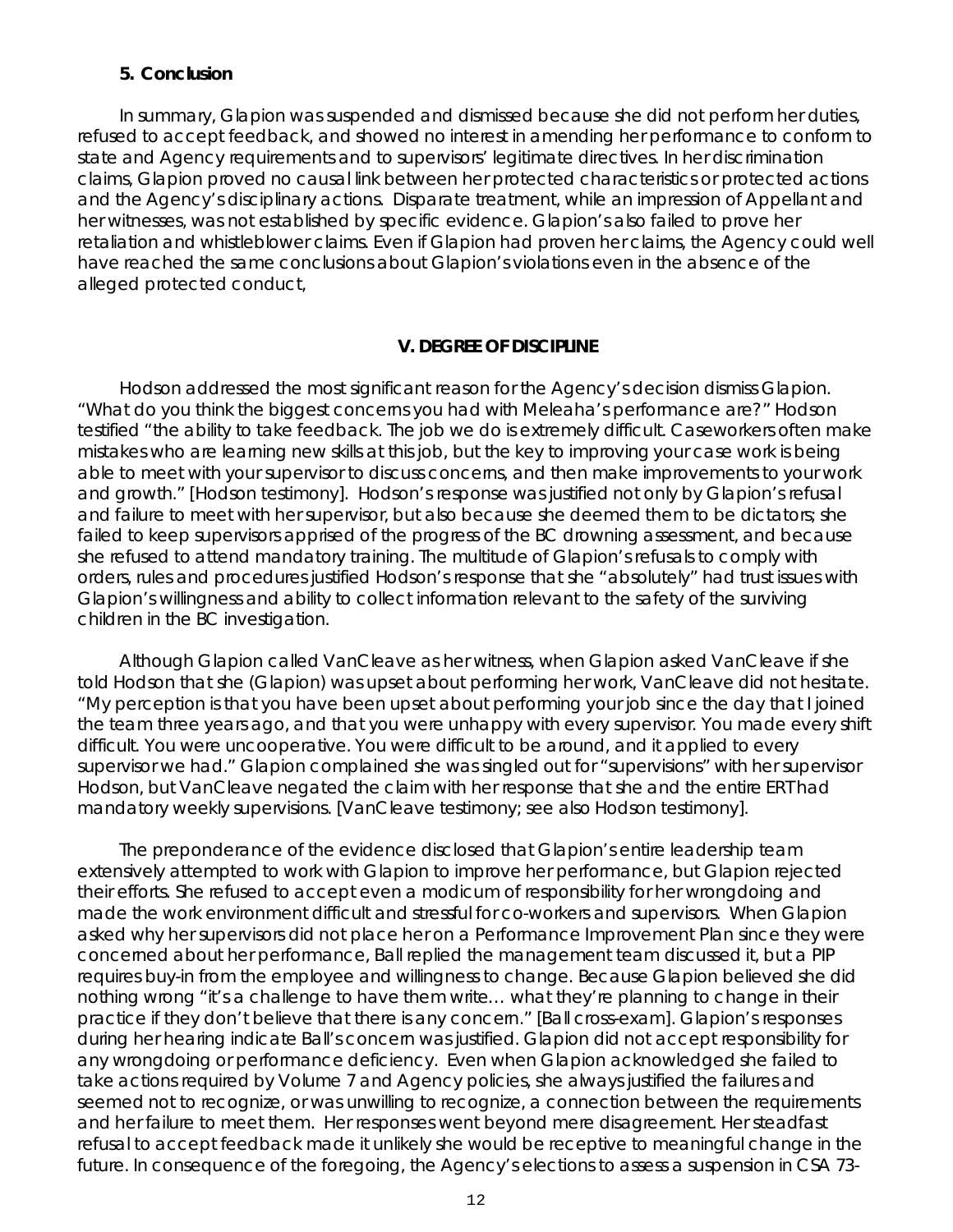#### **5. Conclusion**

In summary, Glapion was suspended and dismissed because she did not perform her duties, refused to accept feedback, and showed no interest in amending her performance to conform to state and Agency requirements and to supervisors' legitimate directives. In her discrimination claims, Glapion proved no causal link between her protected characteristics or protected actions and the Agency's disciplinary actions. Disparate treatment, while an impression of Appellant and her witnesses, was not established by specific evidence. Glapion's also failed to prove her retaliation and whistleblower claims. Even if Glapion had proven her claims, the Agency could well have reached the same conclusions about Glapion's violations even in the absence of the alleged protected conduct,

#### **V. DEGREE OF DISCIPLINE**

Hodson addressed the most significant reason for the Agency's decision dismiss Glapion. "What do you think the biggest concerns you had with Meleaha's performance are?" Hodson testified "the ability to take feedback. The job we do is extremely difficult. Caseworkers often make mistakes who are learning new skills at this job, but the key to improving your case work is being able to meet with your supervisor to discuss concerns, and then make improvements to your work and growth." [Hodson testimony]. Hodson's response was justified not only by Glapion's refusal and failure to meet with her supervisor, but also because she deemed them to be dictators; she failed to keep supervisors apprised of the progress of the BC drowning assessment, and because she refused to attend mandatory training. The multitude of Glapion's refusals to comply with orders, rules and procedures justified Hodson's response that she "absolutely" had trust issues with Glapion's willingness and ability to collect information relevant to the safety of the surviving children in the BC investigation.

Although Glapion called VanCleave as her witness, when Glapion asked VanCleave if she told Hodson that she (Glapion) was upset about performing her work, VanCleave did not hesitate. "My perception is that you have been upset about performing your job since the day that I joined the team three years ago, and that you were unhappy with every supervisor. You made every shift difficult. You were uncooperative. You were difficult to be around, and it applied to every supervisor we had." Glapion complained she was singled out for "supervisions" with her supervisor Hodson, but VanCleave negated the claim with her response that she and the entire ERT had mandatory weekly supervisions. [VanCleave testimony; *see also* Hodson testimony].

The preponderance of the evidence disclosed that Glapion's entire leadership team extensively attempted to work with Glapion to improve her performance, but Glapion rejected their efforts. She refused to accept even a modicum of responsibility for her wrongdoing and made the work environment difficult and stressful for co-workers and supervisors. When Glapion asked why her supervisors did not place her on a Performance Improvement Plan since they were concerned about her performance, Ball replied the management team discussed it, but a PIP requires buy-in from the employee and willingness to change. Because Glapion believed she did nothing wrong "it's a challenge to have them write… what they're planning to change in their practice if they don't believe that there is any concern." [Ball cross-exam]. Glapion's responses during her hearing indicate Ball's concern was justified. Glapion did not accept responsibility for any wrongdoing or performance deficiency. Even when Glapion acknowledged she failed to take actions required by Volume 7 and Agency policies, she always justified the failures and seemed not to recognize, or was unwilling to recognize, a connection between the requirements and her failure to meet them. Her responses went beyond mere disagreement. Her steadfast refusal to accept feedback made it unlikely she would be receptive to meaningful change in the future. In consequence of the foregoing, the Agency's elections to assess a suspension in CSA 73-